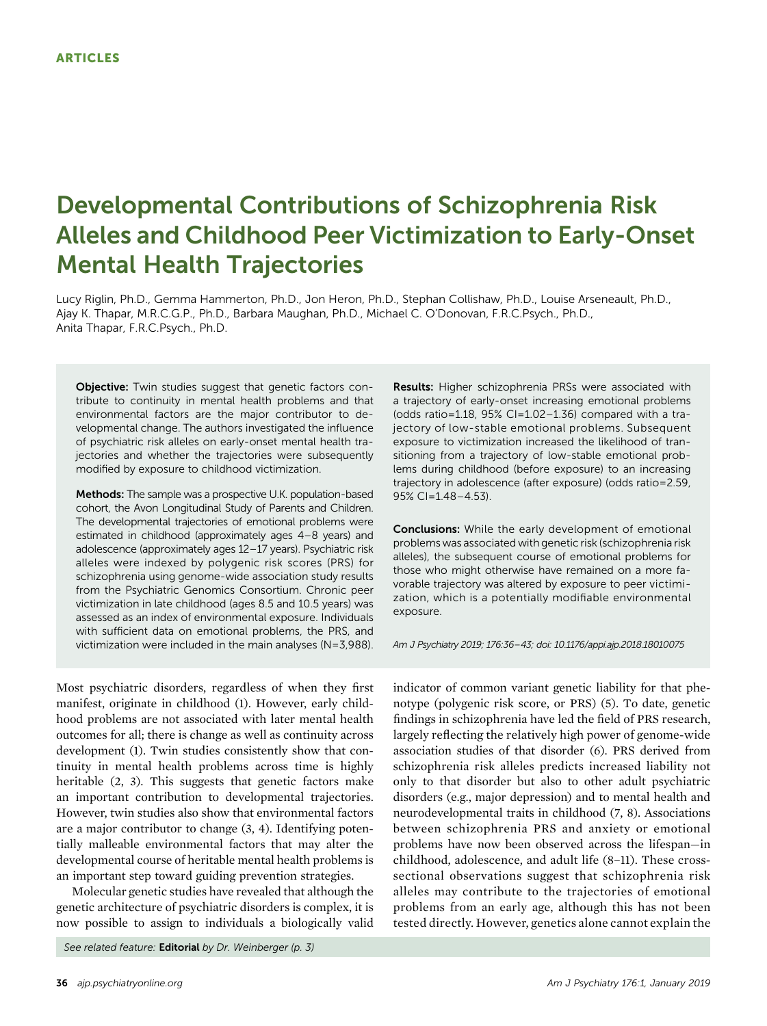# Developmental Contributions of Schizophrenia Risk Alleles and Childhood Peer Victimization to Early-Onset Mental Health Trajectories

Lucy Riglin, Ph.D., Gemma Hammerton, Ph.D., Jon Heron, Ph.D., Stephan Collishaw, Ph.D., Louise Arseneault, Ph.D., Ajay K. Thapar, M.R.C.G.P., Ph.D., Barbara Maughan, Ph.D., Michael C. O'Donovan, F.R.C.Psych., Ph.D., Anita Thapar, F.R.C.Psych., Ph.D.

Objective: Twin studies suggest that genetic factors contribute to continuity in mental health problems and that environmental factors are the major contributor to developmental change. The authors investigated the influence of psychiatric risk alleles on early-onset mental health trajectories and whether the trajectories were subsequently modified by exposure to childhood victimization.

Methods: The sample was a prospective U.K. population-based cohort, the Avon Longitudinal Study of Parents and Children. The developmental trajectories of emotional problems were estimated in childhood (approximately ages 4–8 years) and adolescence (approximately ages 12–17 years). Psychiatric risk alleles were indexed by polygenic risk scores (PRS) for schizophrenia using genome-wide association study results from the Psychiatric Genomics Consortium. Chronic peer victimization in late childhood (ages 8.5 and 10.5 years) was assessed as an index of environmental exposure. Individuals with sufficient data on emotional problems, the PRS, and victimization were included in the main analyses (N=3,988).

Most psychiatric disorders, regardless of when they first manifest, originate in childhood (1). However, early childhood problems are not associated with later mental health outcomes for all; there is change as well as continuity across development (1). Twin studies consistently show that continuity in mental health problems across time is highly heritable (2, 3). This suggests that genetic factors make an important contribution to developmental trajectories. However, twin studies also show that environmental factors are a major contributor to change (3, 4). Identifying potentially malleable environmental factors that may alter the developmental course of heritable mental health problems is an important step toward guiding prevention strategies.

Molecular genetic studies have revealed that although the genetic architecture of psychiatric disorders is complex, it is now possible to assign to individuals a biologically valid

See related feature: Editorial by Dr. Weinberger (p. 3)

Results: Higher schizophrenia PRSs were associated with a trajectory of early-onset increasing emotional problems (odds ratio=1.18, 95% CI=1.02–1.36) compared with a trajectory of low-stable emotional problems. Subsequent exposure to victimization increased the likelihood of transitioning from a trajectory of low-stable emotional problems during childhood (before exposure) to an increasing trajectory in adolescence (after exposure) (odds ratio=2.59, 95% CI=1.48–4.53).

**Conclusions:** While the early development of emotional problems was associated with genetic risk (schizophrenia risk alleles), the subsequent course of emotional problems for those who might otherwise have remained on a more favorable trajectory was altered by exposure to peer victimization, which is a potentially modifiable environmental exposure.

Am J Psychiatry 2019; 176:36–43; doi: 10.1176/appi.ajp.2018.18010075

indicator of common variant genetic liability for that phenotype (polygenic risk score, or PRS) (5). To date, genetic findings in schizophrenia have led the field of PRS research, largely reflecting the relatively high power of genome-wide association studies of that disorder (6). PRS derived from schizophrenia risk alleles predicts increased liability not only to that disorder but also to other adult psychiatric disorders (e.g., major depression) and to mental health and neurodevelopmental traits in childhood (7, 8). Associations between schizophrenia PRS and anxiety or emotional problems have now been observed across the lifespan—in childhood, adolescence, and adult life (8–11). These crosssectional observations suggest that schizophrenia risk alleles may contribute to the trajectories of emotional problems from an early age, although this has not been tested directly. However, genetics alone cannot explain the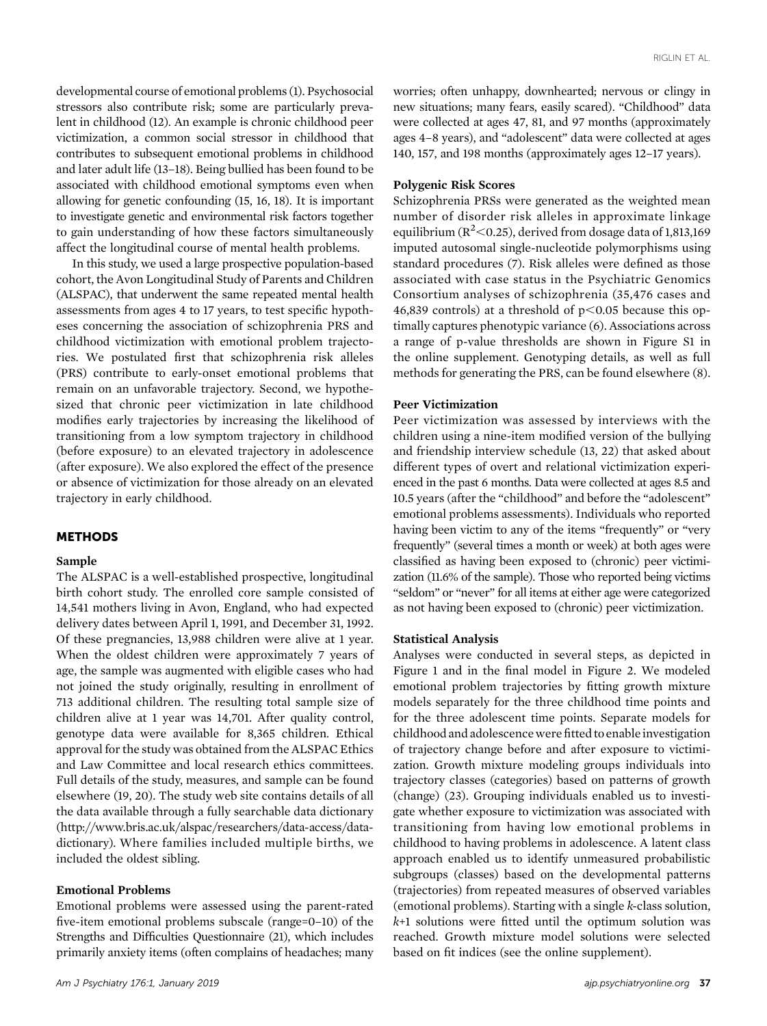developmental course of emotional problems (1). Psychosocial stressors also contribute risk; some are particularly prevalent in childhood (12). An example is chronic childhood peer victimization, a common social stressor in childhood that contributes to subsequent emotional problems in childhood and later adult life (13–18). Being bullied has been found to be associated with childhood emotional symptoms even when allowing for genetic confounding (15, 16, 18). It is important to investigate genetic and environmental risk factors together to gain understanding of how these factors simultaneously affect the longitudinal course of mental health problems.

In this study, we used a large prospective population-based cohort, the Avon Longitudinal Study of Parents and Children (ALSPAC), that underwent the same repeated mental health assessments from ages 4 to 17 years, to test specific hypotheses concerning the association of schizophrenia PRS and childhood victimization with emotional problem trajectories. We postulated first that schizophrenia risk alleles (PRS) contribute to early-onset emotional problems that remain on an unfavorable trajectory. Second, we hypothesized that chronic peer victimization in late childhood modifies early trajectories by increasing the likelihood of transitioning from a low symptom trajectory in childhood (before exposure) to an elevated trajectory in adolescence (after exposure). We also explored the effect of the presence or absence of victimization for those already on an elevated trajectory in early childhood.

## METHODS

## Sample

The ALSPAC is a well-established prospective, longitudinal birth cohort study. The enrolled core sample consisted of 14,541 mothers living in Avon, England, who had expected delivery dates between April 1, 1991, and December 31, 1992. Of these pregnancies, 13,988 children were alive at 1 year. When the oldest children were approximately 7 years of age, the sample was augmented with eligible cases who had not joined the study originally, resulting in enrollment of 713 additional children. The resulting total sample size of children alive at 1 year was 14,701. After quality control, genotype data were available for 8,365 children. Ethical approval for the study was obtained from the ALSPAC Ethics and Law Committee and local research ethics committees. Full details of the study, measures, and sample can be found elsewhere (19, 20). The study web site contains details of all the data available through a fully searchable data dictionary [\(http://www.bris.ac.uk/alspac/researchers/data-access/data](http://www.bris.ac.uk/alspac/researchers/data-access/data-dictionary)[dictionary](http://www.bris.ac.uk/alspac/researchers/data-access/data-dictionary)). Where families included multiple births, we included the oldest sibling.

## Emotional Problems

Emotional problems were assessed using the parent-rated five-item emotional problems subscale (range=0–10) of the Strengths and Difficulties Questionnaire (21), which includes primarily anxiety items (often complains of headaches; many worries; often unhappy, downhearted; nervous or clingy in new situations; many fears, easily scared). "Childhood" data were collected at ages 47, 81, and 97 months (approximately ages 4–8 years), and "adolescent" data were collected at ages 140, 157, and 198 months (approximately ages 12–17 years).

#### Polygenic Risk Scores

Schizophrenia PRSs were generated as the weighted mean number of disorder risk alleles in approximate linkage equilibrium ( $R^2$  < 0.25), derived from dosage data of 1,813,169 imputed autosomal single-nucleotide polymorphisms using standard procedures (7). Risk alleles were defined as those associated with case status in the Psychiatric Genomics Consortium analyses of schizophrenia (35,476 cases and 46,839 controls) at a threshold of  $p<0.05$  because this optimally captures phenotypic variance (6). Associations across a range of p-value thresholds are shown in Figure S1 in the online supplement. Genotyping details, as well as full methods for generating the PRS, can be found elsewhere (8).

# Peer Victimization

Peer victimization was assessed by interviews with the children using a nine-item modified version of the bullying and friendship interview schedule (13, 22) that asked about different types of overt and relational victimization experienced in the past 6 months. Data were collected at ages 8.5 and 10.5 years (after the "childhood" and before the "adolescent" emotional problems assessments). Individuals who reported having been victim to any of the items "frequently" or "very frequently" (several times a month or week) at both ages were classified as having been exposed to (chronic) peer victimization (11.6% of the sample). Those who reported being victims "seldom" or "never" for all items at either age were categorized as not having been exposed to (chronic) peer victimization.

## Statistical Analysis

Analyses were conducted in several steps, as depicted in Figure 1 and in the final model in Figure 2. We modeled emotional problem trajectories by fitting growth mixture models separately for the three childhood time points and for the three adolescent time points. Separate models for childhood and adolescence were fitted to enable investigation of trajectory change before and after exposure to victimization. Growth mixture modeling groups individuals into trajectory classes (categories) based on patterns of growth (change) (23). Grouping individuals enabled us to investigate whether exposure to victimization was associated with transitioning from having low emotional problems in childhood to having problems in adolescence. A latent class approach enabled us to identify unmeasured probabilistic subgroups (classes) based on the developmental patterns (trajectories) from repeated measures of observed variables (emotional problems). Starting with a single k-class solution,  $k+1$  solutions were fitted until the optimum solution was reached. Growth mixture model solutions were selected based on fit indices (see the online supplement).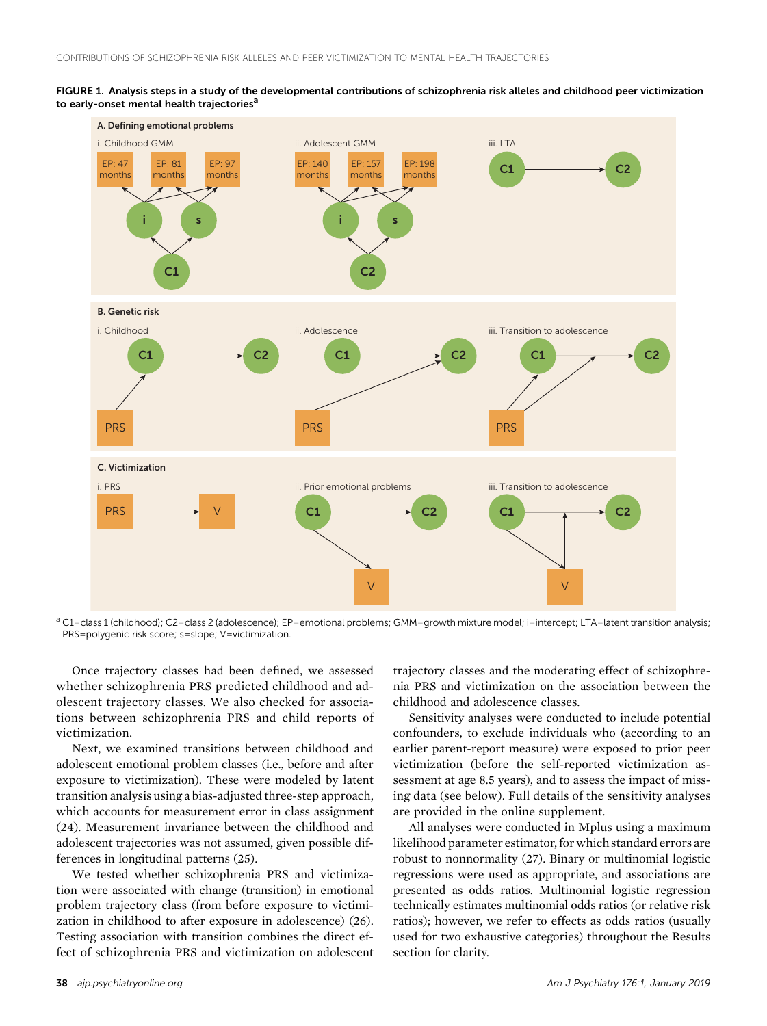



<sup>a</sup> C1=class 1 (childhood); C2=class 2 (adolescence); EP=emotional problems; GMM=growth mixture model; i=intercept; LTA=latent transition analysis; PRS=polygenic risk score; s=slope; V=victimization.

Once trajectory classes had been defined, we assessed whether schizophrenia PRS predicted childhood and adolescent trajectory classes. We also checked for associations between schizophrenia PRS and child reports of victimization.

Next, we examined transitions between childhood and adolescent emotional problem classes (i.e., before and after exposure to victimization). These were modeled by latent transition analysis using a bias-adjusted three-step approach, which accounts for measurement error in class assignment (24). Measurement invariance between the childhood and adolescent trajectories was not assumed, given possible differences in longitudinal patterns (25).

We tested whether schizophrenia PRS and victimization were associated with change (transition) in emotional problem trajectory class (from before exposure to victimization in childhood to after exposure in adolescence) (26). Testing association with transition combines the direct effect of schizophrenia PRS and victimization on adolescent trajectory classes and the moderating effect of schizophrenia PRS and victimization on the association between the childhood and adolescence classes.

Sensitivity analyses were conducted to include potential confounders, to exclude individuals who (according to an earlier parent-report measure) were exposed to prior peer victimization (before the self-reported victimization assessment at age 8.5 years), and to assess the impact of missing data (see below). Full details of the sensitivity analyses are provided in the online supplement.

All analyses were conducted in Mplus using a maximum likelihood parameter estimator, for which standard errors are robust to nonnormality (27). Binary or multinomial logistic regressions were used as appropriate, and associations are presented as odds ratios. Multinomial logistic regression technically estimates multinomial odds ratios (or relative risk ratios); however, we refer to effects as odds ratios (usually used for two exhaustive categories) throughout the Results section for clarity.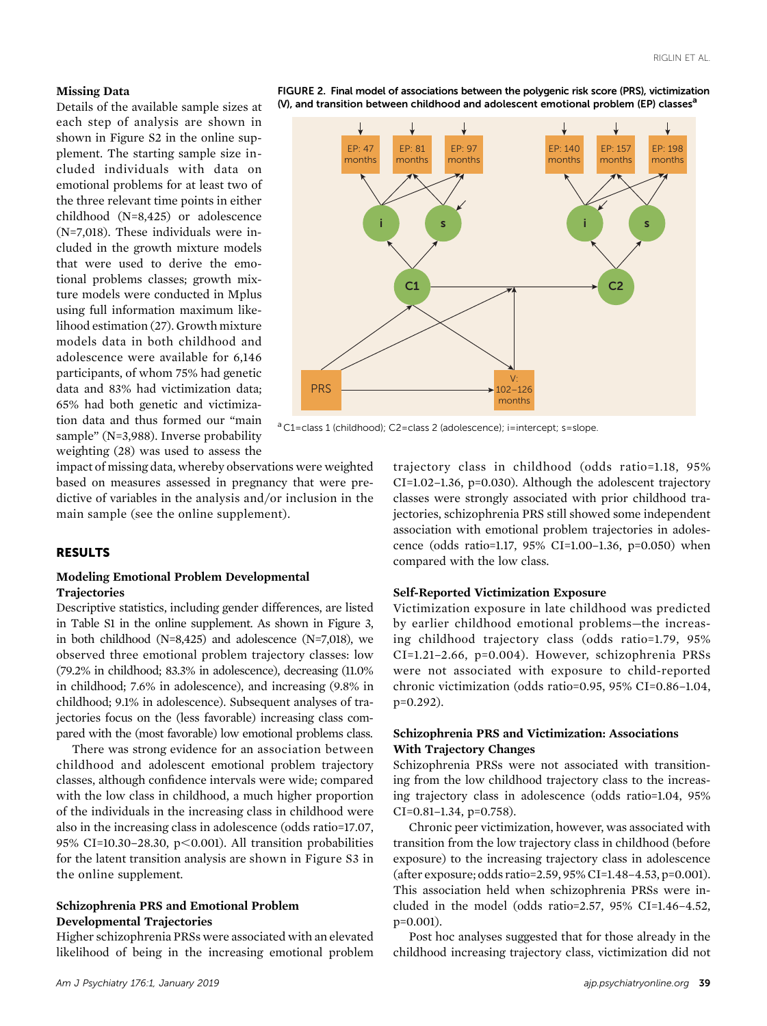#### Missing Data

Details of the available sample sizes at each step of analysis are shown in shown in Figure S2 in the online supplement. The starting sample size included individuals with data on emotional problems for at least two of the three relevant time points in either childhood (N=8,425) or adolescence (N=7,018). These individuals were included in the growth mixture models that were used to derive the emotional problems classes; growth mixture models were conducted in Mplus using full information maximum likelihood estimation (27). Growth mixture models data in both childhood and adolescence were available for 6,146 participants, of whom 75% had genetic data and 83% had victimization data; 65% had both genetic and victimization data and thus formed our "main sample" (N=3,988). Inverse probability weighting (28) was used to assess the



FIGURE 2. Final model of associations between the polygenic risk score (PRS), victimization (V), and transition between childhood and adolescent emotional problem (EP) classes<sup>a</sup>

<sup>a</sup> C1=class 1 (childhood); C2=class 2 (adolescence); i=intercept; s=slope.

impact of missing data, whereby observations were weighted based on measures assessed in pregnancy that were predictive of variables in the analysis and/or inclusion in the main sample (see the online supplement).

#### RESULTS

#### Modeling Emotional Problem Developmental **Trajectories**

Descriptive statistics, including gender differences, are listed in Table S1 in the online supplement. As shown in Figure 3, in both childhood (N=8,425) and adolescence (N=7,018), we observed three emotional problem trajectory classes: low (79.2% in childhood; 83.3% in adolescence), decreasing (11.0% in childhood; 7.6% in adolescence), and increasing (9.8% in childhood; 9.1% in adolescence). Subsequent analyses of trajectories focus on the (less favorable) increasing class compared with the (most favorable) low emotional problems class.

There was strong evidence for an association between childhood and adolescent emotional problem trajectory classes, although confidence intervals were wide; compared with the low class in childhood, a much higher proportion of the individuals in the increasing class in childhood were also in the increasing class in adolescence (odds ratio=17.07, 95% CI=10.30–28.30, p<0.001). All transition probabilities for the latent transition analysis are shown in Figure S3 in the online supplement.

# Schizophrenia PRS and Emotional Problem Developmental Trajectories

Higher schizophrenia PRSs were associated with an elevated likelihood of being in the increasing emotional problem

trajectory class in childhood (odds ratio=1.18, 95% CI=1.02–1.36, p=0.030). Although the adolescent trajectory classes were strongly associated with prior childhood trajectories, schizophrenia PRS still showed some independent association with emotional problem trajectories in adolescence (odds ratio=1.17, 95% CI=1.00–1.36, p=0.050) when compared with the low class.

#### Self-Reported Victimization Exposure

Victimization exposure in late childhood was predicted by earlier childhood emotional problems—the increasing childhood trajectory class (odds ratio=1.79, 95% CI=1.21–2.66, p=0.004). However, schizophrenia PRSs were not associated with exposure to child-reported chronic victimization (odds ratio=0.95, 95% CI=0.86–1.04, p=0.292).

# Schizophrenia PRS and Victimization: Associations With Trajectory Changes

Schizophrenia PRSs were not associated with transitioning from the low childhood trajectory class to the increasing trajectory class in adolescence (odds ratio=1.04, 95% CI=0.81–1.34, p=0.758).

Chronic peer victimization, however, was associated with transition from the low trajectory class in childhood (before exposure) to the increasing trajectory class in adolescence (after exposure; odds ratio=2.59, 95% CI=1.48–4.53, p=0.001). This association held when schizophrenia PRSs were included in the model (odds ratio=2.57, 95% CI=1.46–4.52, p=0.001).

Post hoc analyses suggested that for those already in the childhood increasing trajectory class, victimization did not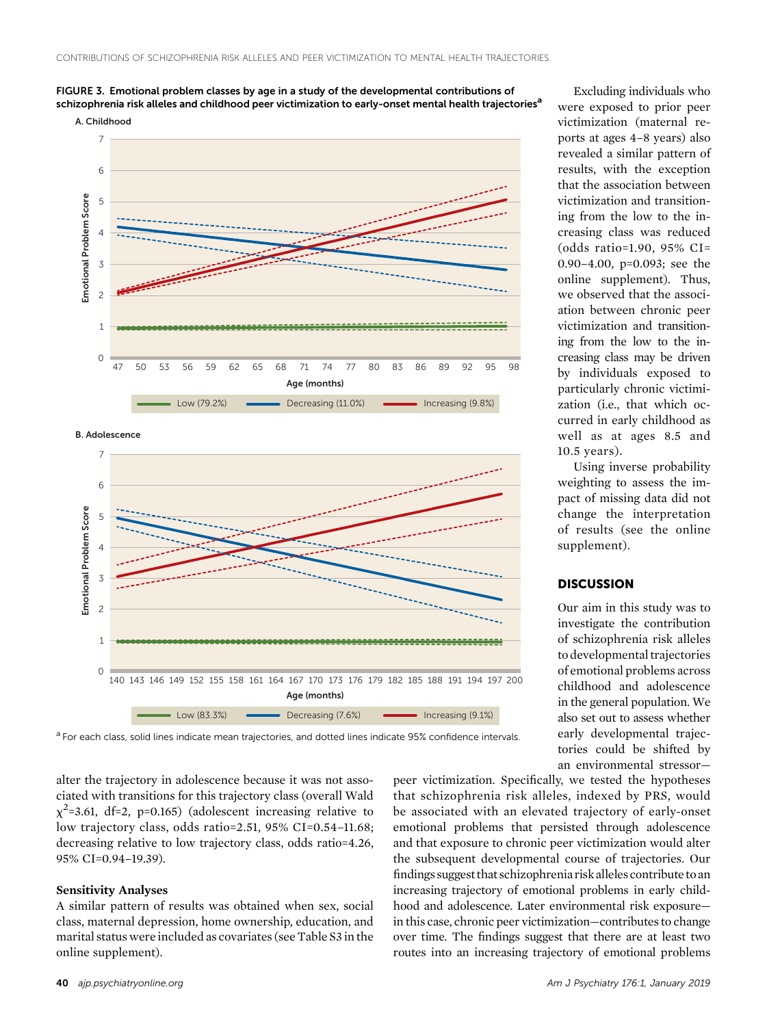



**B. Adolescence**



were exposed to prior peer victimization (maternal reports at ages 4–8 years) also revealed a similar pattern of results, with the exception that the association between victimization and transitioning from the low to the increasing class was reduced (odds ratio=1.90, 95% CI= 0.90–4.00, p=0.093; see the online supplement). Thus, we observed that the association between chronic peer victimization and transitioning from the low to the increasing class may be driven by individuals exposed to particularly chronic victimization (i.e., that which occurred in early childhood as well as at ages 8.5 and 10.5 years).

Excluding individuals who

Using inverse probability weighting to assess the impact of missing data did not change the interpretation of results (see the online supplement).

## **DISCUSSION**

Our aim in this study was to investigate the contribution of schizophrenia risk alleles to developmental trajectories of emotional problems across childhood and adolescence in the general population. We also set out to assess whether early developmental trajectories could be shifted by an environmental stressor—

<sup>a</sup> For each class, solid lines indicate mean trajectories, and dotted lines indicate 95% confidence intervals.

alter the trajectory in adolescence because it was not associated with transitions for this trajectory class (overall Wald  $\chi^2$ =3.61, df=2, p=0.165) (adolescent increasing relative to low trajectory class, odds ratio=2.51, 95% CI=0.54–11.68; decreasing relative to low trajectory class, odds ratio=4.26, 95% CI=0.94–19.39).

#### Sensitivity Analyses

A similar pattern of results was obtained when sex, social class, maternal depression, home ownership, education, and marital status were included as covariates (see Table S3 in the online supplement).

peer victimization. Specifically, we tested the hypotheses that schizophrenia risk alleles, indexed by PRS, would be associated with an elevated trajectory of early-onset emotional problems that persisted through adolescence and that exposure to chronic peer victimization would alter the subsequent developmental course of trajectories. Our findings suggest that schizophrenia risk alleles contribute to an increasing trajectory of emotional problems in early childhood and adolescence. Later environmental risk exposure in this case, chronic peer victimization—contributes to change over time. The findings suggest that there are at least two routes into an increasing trajectory of emotional problems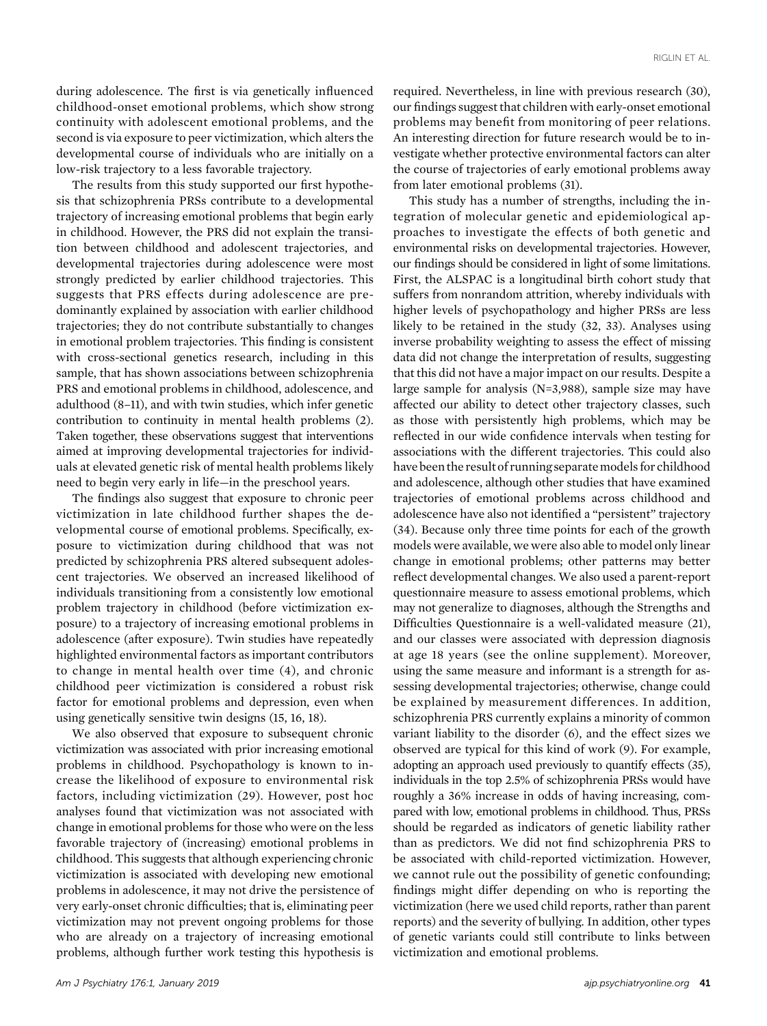during adolescence. The first is via genetically influenced childhood-onset emotional problems, which show strong continuity with adolescent emotional problems, and the second is via exposure to peer victimization, which alters the developmental course of individuals who are initially on a low-risk trajectory to a less favorable trajectory.

The results from this study supported our first hypothesis that schizophrenia PRSs contribute to a developmental trajectory of increasing emotional problems that begin early in childhood. However, the PRS did not explain the transition between childhood and adolescent trajectories, and developmental trajectories during adolescence were most strongly predicted by earlier childhood trajectories. This suggests that PRS effects during adolescence are predominantly explained by association with earlier childhood trajectories; they do not contribute substantially to changes in emotional problem trajectories. This finding is consistent with cross-sectional genetics research, including in this sample, that has shown associations between schizophrenia PRS and emotional problems in childhood, adolescence, and adulthood (8–11), and with twin studies, which infer genetic contribution to continuity in mental health problems (2). Taken together, these observations suggest that interventions aimed at improving developmental trajectories for individuals at elevated genetic risk of mental health problems likely need to begin very early in life—in the preschool years.

The findings also suggest that exposure to chronic peer victimization in late childhood further shapes the developmental course of emotional problems. Specifically, exposure to victimization during childhood that was not predicted by schizophrenia PRS altered subsequent adolescent trajectories. We observed an increased likelihood of individuals transitioning from a consistently low emotional problem trajectory in childhood (before victimization exposure) to a trajectory of increasing emotional problems in adolescence (after exposure). Twin studies have repeatedly highlighted environmental factors as important contributors to change in mental health over time (4), and chronic childhood peer victimization is considered a robust risk factor for emotional problems and depression, even when using genetically sensitive twin designs (15, 16, 18).

We also observed that exposure to subsequent chronic victimization was associated with prior increasing emotional problems in childhood. Psychopathology is known to increase the likelihood of exposure to environmental risk factors, including victimization (29). However, post hoc analyses found that victimization was not associated with change in emotional problems for those who were on the less favorable trajectory of (increasing) emotional problems in childhood. This suggests that although experiencing chronic victimization is associated with developing new emotional problems in adolescence, it may not drive the persistence of very early-onset chronic difficulties; that is, eliminating peer victimization may not prevent ongoing problems for those who are already on a trajectory of increasing emotional problems, although further work testing this hypothesis is

required. Nevertheless, in line with previous research (30), our findings suggest that children with early-onset emotional problems may benefit from monitoring of peer relations. An interesting direction for future research would be to investigate whether protective environmental factors can alter the course of trajectories of early emotional problems away from later emotional problems (31).

This study has a number of strengths, including the integration of molecular genetic and epidemiological approaches to investigate the effects of both genetic and environmental risks on developmental trajectories. However, our findings should be considered in light of some limitations. First, the ALSPAC is a longitudinal birth cohort study that suffers from nonrandom attrition, whereby individuals with higher levels of psychopathology and higher PRSs are less likely to be retained in the study (32, 33). Analyses using inverse probability weighting to assess the effect of missing data did not change the interpretation of results, suggesting that this did not have a major impact on our results. Despite a large sample for analysis (N=3,988), sample size may have affected our ability to detect other trajectory classes, such as those with persistently high problems, which may be reflected in our wide confidence intervals when testing for associations with the different trajectories. This could also have been the result of running separate models for childhood and adolescence, although other studies that have examined trajectories of emotional problems across childhood and adolescence have also not identified a "persistent" trajectory (34). Because only three time points for each of the growth models were available, we were also able to model only linear change in emotional problems; other patterns may better reflect developmental changes. We also used a parent-report questionnaire measure to assess emotional problems, which may not generalize to diagnoses, although the Strengths and Difficulties Questionnaire is a well-validated measure (21), and our classes were associated with depression diagnosis at age 18 years (see the online supplement). Moreover, using the same measure and informant is a strength for assessing developmental trajectories; otherwise, change could be explained by measurement differences. In addition, schizophrenia PRS currently explains a minority of common variant liability to the disorder (6), and the effect sizes we observed are typical for this kind of work (9). For example, adopting an approach used previously to quantify effects (35), individuals in the top 2.5% of schizophrenia PRSs would have roughly a 36% increase in odds of having increasing, compared with low, emotional problems in childhood. Thus, PRSs should be regarded as indicators of genetic liability rather than as predictors. We did not find schizophrenia PRS to be associated with child-reported victimization. However, we cannot rule out the possibility of genetic confounding; findings might differ depending on who is reporting the victimization (here we used child reports, rather than parent reports) and the severity of bullying. In addition, other types of genetic variants could still contribute to links between victimization and emotional problems.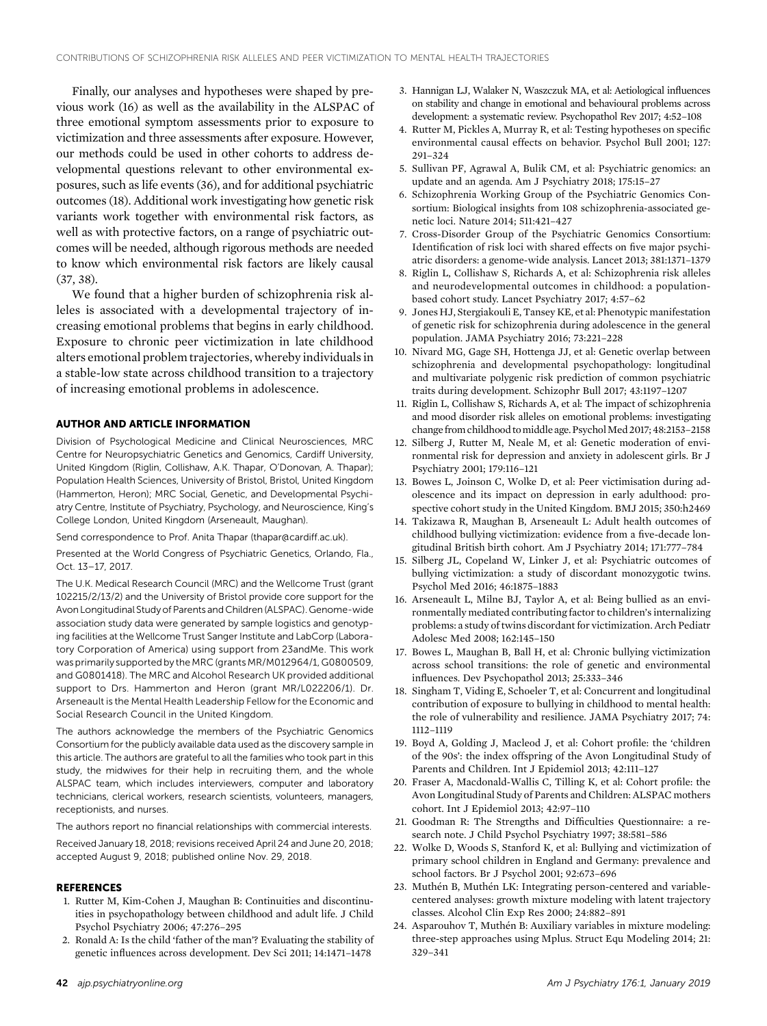Finally, our analyses and hypotheses were shaped by previous work (16) as well as the availability in the ALSPAC of three emotional symptom assessments prior to exposure to victimization and three assessments after exposure. However, our methods could be used in other cohorts to address developmental questions relevant to other environmental exposures, such as life events (36), and for additional psychiatric outcomes (18). Additional work investigating how genetic risk variants work together with environmental risk factors, as well as with protective factors, on a range of psychiatric outcomes will be needed, although rigorous methods are needed to know which environmental risk factors are likely causal (37, 38).

We found that a higher burden of schizophrenia risk alleles is associated with a developmental trajectory of increasing emotional problems that begins in early childhood. Exposure to chronic peer victimization in late childhood alters emotional problem trajectories, whereby individuals in a stable-low state across childhood transition to a trajectory of increasing emotional problems in adolescence.

#### AUTHOR AND ARTICLE INFORMATION

Division of Psychological Medicine and Clinical Neurosciences, MRC Centre for Neuropsychiatric Genetics and Genomics, Cardiff University, United Kingdom (Riglin, Collishaw, A.K. Thapar, O'Donovan, A. Thapar); Population Health Sciences, University of Bristol, Bristol, United Kingdom (Hammerton, Heron); MRC Social, Genetic, and Developmental Psychiatry Centre, Institute of Psychiatry, Psychology, and Neuroscience, King's College London, United Kingdom (Arseneault, Maughan).

Send correspondence to Prof. Anita Thapar [\(thapar@cardiff.ac.uk\)](mailto:thapar@cardiff.ac.uk).

Presented at the World Congress of Psychiatric Genetics, Orlando, Fla., Oct. 13–17, 2017.

The U.K. Medical Research Council (MRC) and the Wellcome Trust (grant 102215/2/13/2) and the University of Bristol provide core support for the Avon Longitudinal Study of Parents and Children (ALSPAC). Genome-wide association study data were generated by sample logistics and genotyping facilities at the Wellcome Trust Sanger Institute and LabCorp (Laboratory Corporation of America) using support from 23andMe. This work was primarily supported by the MRC (grants MR/M012964/1, G0800509, and G0801418). The MRC and Alcohol Research UK provided additional support to Drs. Hammerton and Heron (grant MR/L022206/1). Dr. Arseneault is the Mental Health Leadership Fellow for the Economic and Social Research Council in the United Kingdom.

The authors acknowledge the members of the Psychiatric Genomics Consortium for the publicly available data used as the discovery sample in this article. The authors are grateful to all the families who took part in this study, the midwives for their help in recruiting them, and the whole ALSPAC team, which includes interviewers, computer and laboratory technicians, clerical workers, research scientists, volunteers, managers, receptionists, and nurses.

The authors report no financial relationships with commercial interests.

Received January 18, 2018; revisions received April 24 and June 20, 2018; accepted August 9, 2018; published online Nov. 29, 2018.

#### **REFERENCES**

- 1. Rutter M, Kim-Cohen J, Maughan B: Continuities and discontinuities in psychopathology between childhood and adult life. J Child Psychol Psychiatry 2006; 47:276–295
- 2. Ronald A: Is the child 'father of the man'? Evaluating the stability of genetic influences across development. Dev Sci 2011; 14:1471–1478
- 3. Hannigan LJ, Walaker N, Waszczuk MA, et al: Aetiological influences on stability and change in emotional and behavioural problems across development: a systematic review. Psychopathol Rev 2017; 4:52–108
- 4. Rutter M, Pickles A, Murray R, et al: Testing hypotheses on specific environmental causal effects on behavior. Psychol Bull 2001; 127: 291–324
- 5. Sullivan PF, Agrawal A, Bulik CM, et al: Psychiatric genomics: an update and an agenda. Am J Psychiatry 2018; 175:15–27
- 6. Schizophrenia Working Group of the Psychiatric Genomics Consortium: Biological insights from 108 schizophrenia-associated genetic loci. Nature 2014; 511:421–427
- 7. Cross-Disorder Group of the Psychiatric Genomics Consortium: Identification of risk loci with shared effects on five major psychiatric disorders: a genome-wide analysis. Lancet 2013; 381:1371–1379
- 8. Riglin L, Collishaw S, Richards A, et al: Schizophrenia risk alleles and neurodevelopmental outcomes in childhood: a populationbased cohort study. Lancet Psychiatry 2017; 4:57–62
- 9. Jones HJ, Stergiakouli E, Tansey KE, et al: Phenotypic manifestation of genetic risk for schizophrenia during adolescence in the general population. JAMA Psychiatry 2016; 73:221–228
- 10. Nivard MG, Gage SH, Hottenga JJ, et al: Genetic overlap between schizophrenia and developmental psychopathology: longitudinal and multivariate polygenic risk prediction of common psychiatric traits during development. Schizophr Bull 2017; 43:1197–1207
- 11. Riglin L, Collishaw S, Richards A, et al: The impact of schizophrenia and mood disorder risk alleles on emotional problems: investigating change from childhood to middle age. Psychol Med 2017; 48:2153-2158
- 12. Silberg J, Rutter M, Neale M, et al: Genetic moderation of environmental risk for depression and anxiety in adolescent girls. Br J Psychiatry 2001; 179:116–121
- 13. Bowes L, Joinson C, Wolke D, et al: Peer victimisation during adolescence and its impact on depression in early adulthood: prospective cohort study in the United Kingdom. BMJ 2015; 350:h2469
- 14. Takizawa R, Maughan B, Arseneault L: Adult health outcomes of childhood bullying victimization: evidence from a five-decade longitudinal British birth cohort. Am J Psychiatry 2014; 171:777–784
- 15. Silberg JL, Copeland W, Linker J, et al: Psychiatric outcomes of bullying victimization: a study of discordant monozygotic twins. Psychol Med 2016; 46:1875–1883
- 16. Arseneault L, Milne BJ, Taylor A, et al: Being bullied as an environmentally mediated contributing factor to children's internalizing problems: a study of twins discordant for victimization. Arch Pediatr Adolesc Med 2008; 162:145–150
- 17. Bowes L, Maughan B, Ball H, et al: Chronic bullying victimization across school transitions: the role of genetic and environmental influences. Dev Psychopathol 2013; 25:333–346
- 18. Singham T, Viding E, Schoeler T, et al: Concurrent and longitudinal contribution of exposure to bullying in childhood to mental health: the role of vulnerability and resilience. JAMA Psychiatry 2017; 74: 1112–1119
- 19. Boyd A, Golding J, Macleod J, et al: Cohort profile: the 'children of the 90s': the index offspring of the Avon Longitudinal Study of Parents and Children. Int J Epidemiol 2013; 42:111–127
- 20. Fraser A, Macdonald-Wallis C, Tilling K, et al: Cohort profile: the Avon Longitudinal Study of Parents and Children: ALSPAC mothers cohort. Int J Epidemiol 2013; 42:97–110
- 21. Goodman R: The Strengths and Difficulties Questionnaire: a research note. J Child Psychol Psychiatry 1997; 38:581–586
- 22. Wolke D, Woods S, Stanford K, et al: Bullying and victimization of primary school children in England and Germany: prevalence and school factors. Br J Psychol 2001; 92:673–696
- 23. Muthén B, Muthén LK: Integrating person-centered and variablecentered analyses: growth mixture modeling with latent trajectory classes. Alcohol Clin Exp Res 2000; 24:882–891
- 24. Asparouhov T, Muthén B: Auxiliary variables in mixture modeling: three-step approaches using Mplus. Struct Equ Modeling 2014; 21: 329–341